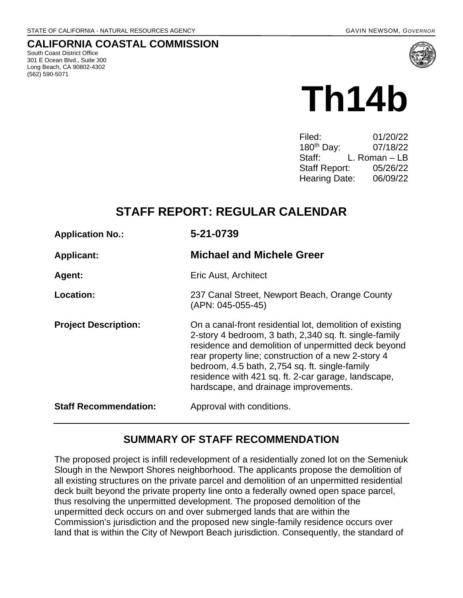## **CALIFORNIA COASTAL COMMISSION**

South Coast District Office 301 E Ocean Blvd., Suite 300 Long Beach, CA 90802-4302 (562) 590-5071



| 01/20/22      |
|---------------|
| 07/18/22      |
| L. Roman – LB |
| 05/26/22      |
| 06/09/22      |
|               |

# **STAFF REPORT: REGULAR CALENDAR**

| <b>Application No.:</b>      | 5-21-0739<br><b>Michael and Michele Greer</b>                                                                                                                                                                                                                                                                                                                                      |  |
|------------------------------|------------------------------------------------------------------------------------------------------------------------------------------------------------------------------------------------------------------------------------------------------------------------------------------------------------------------------------------------------------------------------------|--|
| <b>Applicant:</b>            |                                                                                                                                                                                                                                                                                                                                                                                    |  |
| Agent:                       | Eric Aust, Architect                                                                                                                                                                                                                                                                                                                                                               |  |
| Location:                    | 237 Canal Street, Newport Beach, Orange County<br>(APN: 045-055-45)                                                                                                                                                                                                                                                                                                                |  |
| <b>Project Description:</b>  | On a canal-front residential lot, demolition of existing<br>2-story 4 bedroom, 3 bath, 2,340 sq. ft. single-family<br>residence and demolition of unpermitted deck beyond<br>rear property line; construction of a new 2-story 4<br>bedroom, 4.5 bath, 2,754 sq. ft. single-family<br>residence with 421 sq. ft. 2-car garage, landscape,<br>hardscape, and drainage improvements. |  |
| <b>Staff Recommendation:</b> | Approval with conditions.                                                                                                                                                                                                                                                                                                                                                          |  |

# **SUMMARY OF STAFF RECOMMENDATION**

The proposed project is infill redevelopment of a residentially zoned lot on the Semeniuk Slough in the Newport Shores neighborhood. The applicants propose the demolition of all existing structures on the private parcel and demolition of an unpermitted residential deck built beyond the private property line onto a federally owned open space parcel, thus resolving the unpermitted development. The proposed demolition of the unpermitted deck occurs on and over submerged lands that are within the Commission's jurisdiction and the proposed new single-family residence occurs over land that is within the City of Newport Beach jurisdiction. Consequently, the standard of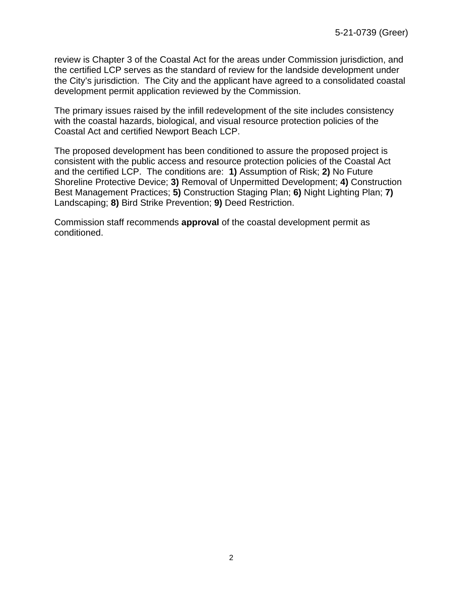review is Chapter 3 of the Coastal Act for the areas under Commission jurisdiction, and the certified LCP serves as the standard of review for the landside development under the City's jurisdiction. The City and the applicant have agreed to a consolidated coastal development permit application reviewed by the Commission.

The primary issues raised by the infill redevelopment of the site includes consistency with the coastal hazards, biological, and visual resource protection policies of the Coastal Act and certified Newport Beach LCP.

The proposed development has been conditioned to assure the proposed project is consistent with the public access and resource protection policies of the Coastal Act and the certified LCP. The conditions are: **1)** Assumption of Risk; **2)** No Future Shoreline Protective Device; **3)** Removal of Unpermitted Development; **4)** Construction Best Management Practices; **5)** Construction Staging Plan; **6)** Night Lighting Plan; **7)** Landscaping; **8)** Bird Strike Prevention; **9)** Deed Restriction.

Commission staff recommends **approval** of the coastal development permit as conditioned.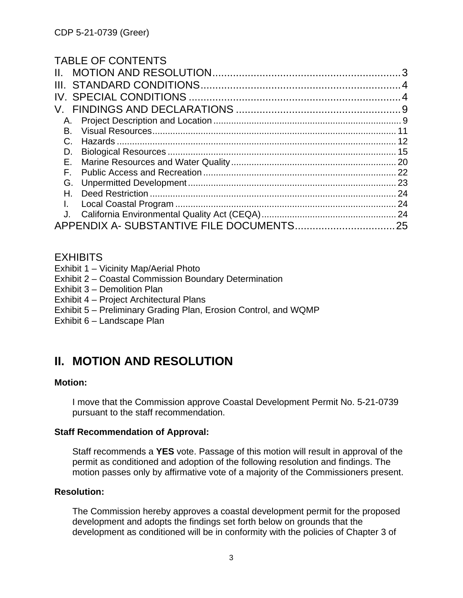# TABLE OF CONTENTS

| Α.<br>В.<br>C.<br>D.<br>Е.<br>F.<br>Н.<br>$\mathbf{L}$ | Н. |    |
|--------------------------------------------------------|----|----|
|                                                        |    |    |
|                                                        |    |    |
|                                                        |    |    |
|                                                        |    |    |
|                                                        |    |    |
|                                                        |    |    |
|                                                        |    |    |
|                                                        |    |    |
|                                                        |    |    |
|                                                        |    |    |
|                                                        |    |    |
|                                                        |    | 24 |
|                                                        |    |    |
|                                                        |    |    |

# **EXHIBITS**

- Exhibit 1 Vicinity Map/Aerial Photo
- Exhibit 2 Coastal Commission Boundary Determination
- Exhibit 3 Demolition Plan
- Exhibit 4 Project Architectural Plans
- [Exhibit 5 Preliminary Grading Plan, Erosion Control, and WQMP](https://documents.coastal.ca.gov/reports/2022/6/Th14b/Th14b-6-2022-exhibits.pdf)
- Exhibit 6 Landscape Plan

# <span id="page-2-0"></span>**II. MOTION AND RESOLUTION**

#### **Motion:**

I move that the Commission approve Coastal Development Permit No. 5-21-0739 pursuant to the staff recommendation.

#### **Staff Recommendation of Approval:**

Staff recommends a **YES** vote. Passage of this motion will result in approval of the permit as conditioned and adoption of the following resolution and findings. The motion passes only by affirmative vote of a majority of the Commissioners present.

#### **Resolution:**

The Commission hereby approves a coastal development permit for the proposed development and adopts the findings set forth below on grounds that the development as conditioned will be in conformity with the policies of Chapter 3 of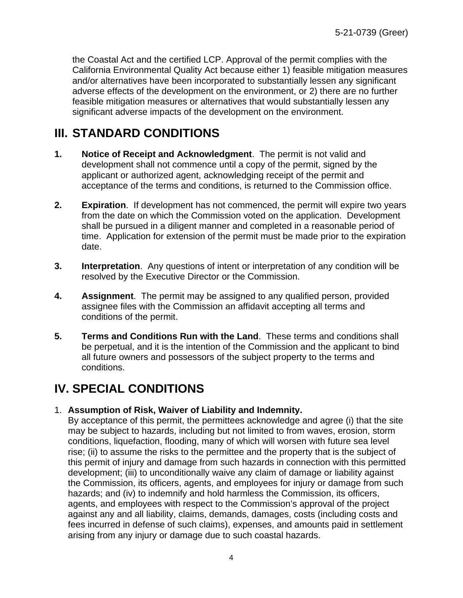the Coastal Act and the certified LCP. Approval of the permit complies with the California Environmental Quality Act because either 1) feasible mitigation measures and/or alternatives have been incorporated to substantially lessen any significant adverse effects of the development on the environment, or 2) there are no further feasible mitigation measures or alternatives that would substantially lessen any significant adverse impacts of the development on the environment.

# <span id="page-3-0"></span>**III. STANDARD CONDITIONS**

- **1. Notice of Receipt and Acknowledgment**. The permit is not valid and development shall not commence until a copy of the permit, signed by the applicant or authorized agent, acknowledging receipt of the permit and acceptance of the terms and conditions, is returned to the Commission office.
- **2. Expiration**. If development has not commenced, the permit will expire two years from the date on which the Commission voted on the application. Development shall be pursued in a diligent manner and completed in a reasonable period of time. Application for extension of the permit must be made prior to the expiration date.
- **3. Interpretation**. Any questions of intent or interpretation of any condition will be resolved by the Executive Director or the Commission.
- **4. Assignment**. The permit may be assigned to any qualified person, provided assignee files with the Commission an affidavit accepting all terms and conditions of the permit.
- **5. Terms and Conditions Run with the Land**. These terms and conditions shall be perpetual, and it is the intention of the Commission and the applicant to bind all future owners and possessors of the subject property to the terms and conditions.

# <span id="page-3-1"></span>**IV. SPECIAL CONDITIONS**

#### 1. **Assumption of Risk, Waiver of Liability and Indemnity.**

By acceptance of this permit, the permittees acknowledge and agree (i) that the site may be subject to hazards, including but not limited to from waves, erosion, storm conditions, liquefaction, flooding, many of which will worsen with future sea level rise; (ii) to assume the risks to the permittee and the property that is the subject of this permit of injury and damage from such hazards in connection with this permitted development; (iii) to unconditionally waive any claim of damage or liability against the Commission, its officers, agents, and employees for injury or damage from such hazards; and (iv) to indemnify and hold harmless the Commission, its officers, agents, and employees with respect to the Commission's approval of the project against any and all liability, claims, demands, damages, costs (including costs and fees incurred in defense of such claims), expenses, and amounts paid in settlement arising from any injury or damage due to such coastal hazards.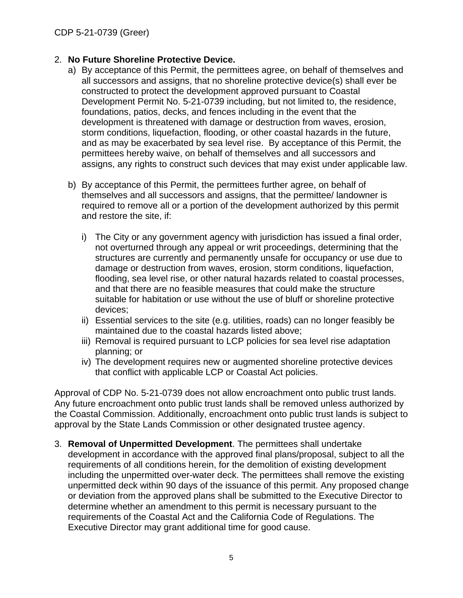#### 2. **No Future Shoreline Protective Device.**

- a) By acceptance of this Permit, the permittees agree, on behalf of themselves and all successors and assigns, that no shoreline protective device(s) shall ever be constructed to protect the development approved pursuant to Coastal Development Permit No. 5-21-0739 including, but not limited to, the residence, foundations, patios, decks, and fences including in the event that the development is threatened with damage or destruction from waves, erosion, storm conditions, liquefaction, flooding, or other coastal hazards in the future, and as may be exacerbated by sea level rise. By acceptance of this Permit, the permittees hereby waive, on behalf of themselves and all successors and assigns, any rights to construct such devices that may exist under applicable law.
- b) By acceptance of this Permit, the permittees further agree, on behalf of themselves and all successors and assigns, that the permittee/ landowner is required to remove all or a portion of the development authorized by this permit and restore the site, if:
	- i) The City or any government agency with jurisdiction has issued a final order, not overturned through any appeal or writ proceedings, determining that the structures are currently and permanently unsafe for occupancy or use due to damage or destruction from waves, erosion, storm conditions, liquefaction, flooding, sea level rise, or other natural hazards related to coastal processes, and that there are no feasible measures that could make the structure suitable for habitation or use without the use of bluff or shoreline protective devices;
	- ii) Essential services to the site (e.g. utilities, roads) can no longer feasibly be maintained due to the coastal hazards listed above;
	- iii) Removal is required pursuant to LCP policies for sea level rise adaptation planning; or
	- iv) The development requires new or augmented shoreline protective devices that conflict with applicable LCP or Coastal Act policies.

Approval of CDP No. 5-21-0739 does not allow encroachment onto public trust lands. Any future encroachment onto public trust lands shall be removed unless authorized by the Coastal Commission. Additionally, encroachment onto public trust lands is subject to approval by the State Lands Commission or other designated trustee agency.

3. **Removal of Unpermitted Development**. The permittees shall undertake development in accordance with the approved final plans/proposal, subject to all the requirements of all conditions herein, for the demolition of existing development including the unpermitted over-water deck. The permittees shall remove the existing unpermitted deck within 90 days of the issuance of this permit. Any proposed change or deviation from the approved plans shall be submitted to the Executive Director to determine whether an amendment to this permit is necessary pursuant to the requirements of the Coastal Act and the California Code of Regulations. The Executive Director may grant additional time for good cause.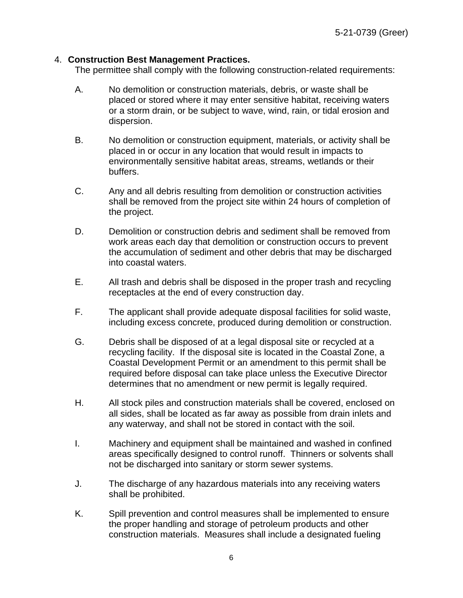#### 4. **Construction Best Management Practices.**

The permittee shall comply with the following construction-related requirements:

- A. No demolition or construction materials, debris, or waste shall be placed or stored where it may enter sensitive habitat, receiving waters or a storm drain, or be subject to wave, wind, rain, or tidal erosion and dispersion.
- B. No demolition or construction equipment, materials, or activity shall be placed in or occur in any location that would result in impacts to environmentally sensitive habitat areas, streams, wetlands or their buffers.
- C. Any and all debris resulting from demolition or construction activities shall be removed from the project site within 24 hours of completion of the project.
- D. Demolition or construction debris and sediment shall be removed from work areas each day that demolition or construction occurs to prevent the accumulation of sediment and other debris that may be discharged into coastal waters.
- E. All trash and debris shall be disposed in the proper trash and recycling receptacles at the end of every construction day.
- F. The applicant shall provide adequate disposal facilities for solid waste, including excess concrete, produced during demolition or construction.
- G. Debris shall be disposed of at a legal disposal site or recycled at a recycling facility. If the disposal site is located in the Coastal Zone, a Coastal Development Permit or an amendment to this permit shall be required before disposal can take place unless the Executive Director determines that no amendment or new permit is legally required.
- H. All stock piles and construction materials shall be covered, enclosed on all sides, shall be located as far away as possible from drain inlets and any waterway, and shall not be stored in contact with the soil.
- I. Machinery and equipment shall be maintained and washed in confined areas specifically designed to control runoff. Thinners or solvents shall not be discharged into sanitary or storm sewer systems.
- J. The discharge of any hazardous materials into any receiving waters shall be prohibited.
- K. Spill prevention and control measures shall be implemented to ensure the proper handling and storage of petroleum products and other construction materials. Measures shall include a designated fueling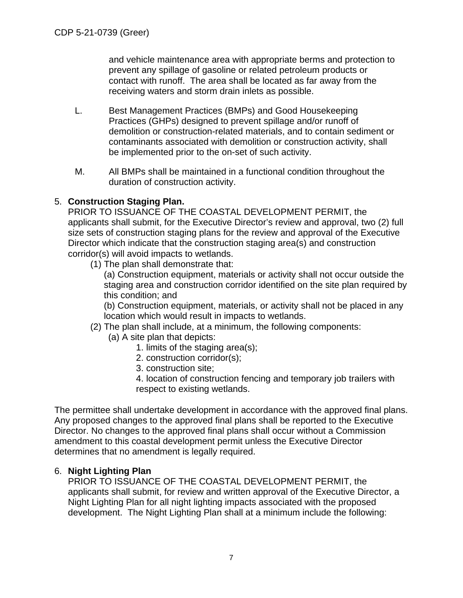and vehicle maintenance area with appropriate berms and protection to prevent any spillage of gasoline or related petroleum products or contact with runoff. The area shall be located as far away from the receiving waters and storm drain inlets as possible.

- L. Best Management Practices (BMPs) and Good Housekeeping Practices (GHPs) designed to prevent spillage and/or runoff of demolition or construction-related materials, and to contain sediment or contaminants associated with demolition or construction activity, shall be implemented prior to the on-set of such activity.
- M. All BMPs shall be maintained in a functional condition throughout the duration of construction activity.

# 5. **Construction Staging Plan.**

PRIOR TO ISSUANCE OF THE COASTAL DEVELOPMENT PERMIT, the applicants shall submit, for the Executive Director's review and approval, two (2) full size sets of construction staging plans for the review and approval of the Executive Director which indicate that the construction staging area(s) and construction corridor(s) will avoid impacts to wetlands.

(1) The plan shall demonstrate that:

(a) Construction equipment, materials or activity shall not occur outside the staging area and construction corridor identified on the site plan required by this condition; and

(b) Construction equipment, materials, or activity shall not be placed in any location which would result in impacts to wetlands.

- (2) The plan shall include, at a minimum, the following components:
	- (a) A site plan that depicts:
		- 1. limits of the staging area(s);
		- 2. construction corridor(s);
		- 3. construction site;

4. location of construction fencing and temporary job trailers with respect to existing wetlands.

The permittee shall undertake development in accordance with the approved final plans. Any proposed changes to the approved final plans shall be reported to the Executive Director. No changes to the approved final plans shall occur without a Commission amendment to this coastal development permit unless the Executive Director determines that no amendment is legally required.

#### 6. **Night Lighting Plan**

PRIOR TO ISSUANCE OF THE COASTAL DEVELOPMENT PERMIT, the applicants shall submit, for review and written approval of the Executive Director, a Night Lighting Plan for all night lighting impacts associated with the proposed development. The Night Lighting Plan shall at a minimum include the following: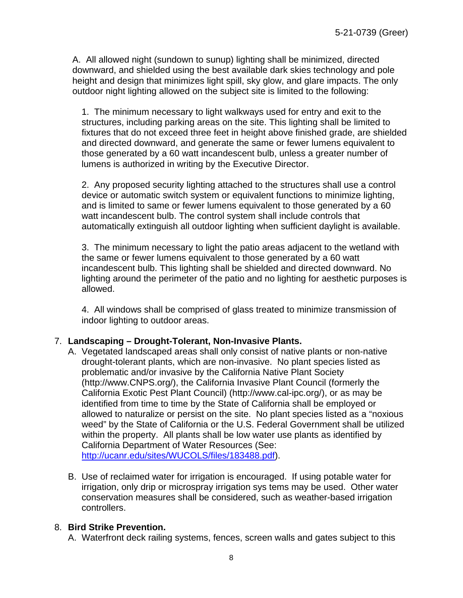A. All allowed night (sundown to sunup) lighting shall be minimized, directed downward, and shielded using the best available dark skies technology and pole height and design that minimizes light spill, sky glow, and glare impacts. The only outdoor night lighting allowed on the subject site is limited to the following:

1. The minimum necessary to light walkways used for entry and exit to the structures, including parking areas on the site. This lighting shall be limited to fixtures that do not exceed three feet in height above finished grade, are shielded and directed downward, and generate the same or fewer lumens equivalent to those generated by a 60 watt incandescent bulb, unless a greater number of lumens is authorized in writing by the Executive Director.

2. Any proposed security lighting attached to the structures shall use a control device or automatic switch system or equivalent functions to minimize lighting, and is limited to same or fewer lumens equivalent to those generated by a 60 watt incandescent bulb. The control system shall include controls that automatically extinguish all outdoor lighting when sufficient daylight is available.

3. The minimum necessary to light the patio areas adjacent to the wetland with the same or fewer lumens equivalent to those generated by a 60 watt incandescent bulb. This lighting shall be shielded and directed downward. No lighting around the perimeter of the patio and no lighting for aesthetic purposes is allowed.

4. All windows shall be comprised of glass treated to minimize transmission of indoor lighting to outdoor areas.

#### 7. **Landscaping – Drought-Tolerant, Non-Invasive Plants.**

- A. Vegetated landscaped areas shall only consist of native plants or non-native drought-tolerant plants, which are non-invasive. No plant species listed as problematic and/or invasive by the California Native Plant Society (http://www.CNPS.org/), the California Invasive Plant Council (formerly the California Exotic Pest Plant Council) (http://www.cal-ipc.org/), or as may be identified from time to time by the State of California shall be employed or allowed to naturalize or persist on the site. No plant species listed as a "noxious weed" by the State of California or the U.S. Federal Government shall be utilized within the property. All plants shall be low water use plants as identified by California Department of Water Resources (See: [http://ucanr.edu/sites/WUCOLS/files/183488.pdf\)](http://ucanr.edu/sites/WUCOLS/files/183488.pdf).
- B. Use of reclaimed water for irrigation is encouraged. If using potable water for irrigation, only drip or microspray irrigation sys tems may be used. Other water conservation measures shall be considered, such as weather-based irrigation controllers.

#### 8. **Bird Strike Prevention.**

A. Waterfront deck railing systems, fences, screen walls and gates subject to this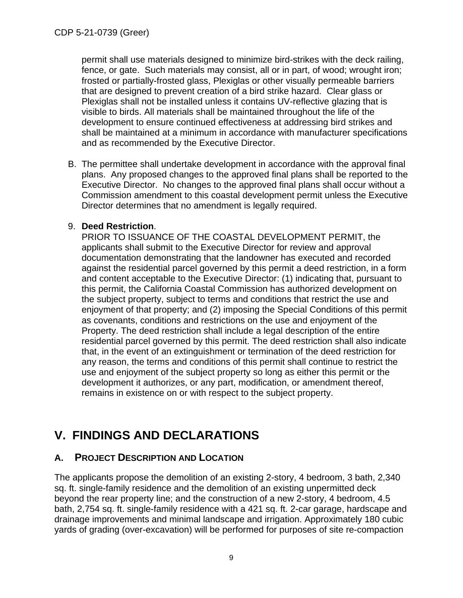permit shall use materials designed to minimize bird-strikes with the deck railing, fence, or gate. Such materials may consist, all or in part, of wood; wrought iron; frosted or partially-frosted glass, Plexiglas or other visually permeable barriers that are designed to prevent creation of a bird strike hazard. Clear glass or Plexiglas shall not be installed unless it contains UV-reflective glazing that is visible to birds. All materials shall be maintained throughout the life of the development to ensure continued effectiveness at addressing bird strikes and shall be maintained at a minimum in accordance with manufacturer specifications and as recommended by the Executive Director.

B. The permittee shall undertake development in accordance with the approval final plans. Any proposed changes to the approved final plans shall be reported to the Executive Director. No changes to the approved final plans shall occur without a Commission amendment to this coastal development permit unless the Executive Director determines that no amendment is legally required.

#### 9. **Deed Restriction**.

PRIOR TO ISSUANCE OF THE COASTAL DEVELOPMENT PERMIT, the applicants shall submit to the Executive Director for review and approval documentation demonstrating that the landowner has executed and recorded against the residential parcel governed by this permit a deed restriction, in a form and content acceptable to the Executive Director: (1) indicating that, pursuant to this permit, the California Coastal Commission has authorized development on the subject property, subject to terms and conditions that restrict the use and enjoyment of that property; and (2) imposing the Special Conditions of this permit as covenants, conditions and restrictions on the use and enjoyment of the Property. The deed restriction shall include a legal description of the entire residential parcel governed by this permit. The deed restriction shall also indicate that, in the event of an extinguishment or termination of the deed restriction for any reason, the terms and conditions of this permit shall continue to restrict the use and enjoyment of the subject property so long as either this permit or the development it authorizes, or any part, modification, or amendment thereof, remains in existence on or with respect to the subject property.

# <span id="page-8-0"></span>**V. FINDINGS AND DECLARATIONS**

# <span id="page-8-1"></span>**A. PROJECT DESCRIPTION AND LOCATION**

The applicants propose the demolition of an existing 2-story, 4 bedroom, 3 bath, 2,340 sq. ft. single-family residence and the demolition of an existing unpermitted deck beyond the rear property line; and the construction of a new 2-story, 4 bedroom, 4.5 bath, 2,754 sq. ft. single-family residence with a 421 sq. ft. 2-car garage, hardscape and drainage improvements and minimal landscape and irrigation. Approximately 180 cubic yards of grading (over-excavation) will be performed for purposes of site re-compaction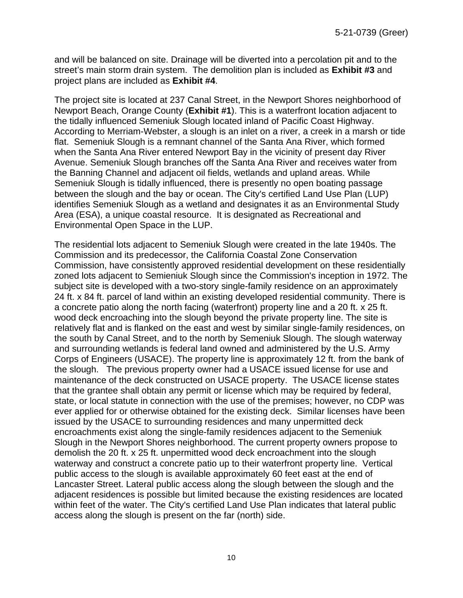and will be balanced on site. Drainage will be diverted into a percolation pit and to the street's main storm drain system. The demolition plan is included as **[Exhibit #3](https://documents.coastal.ca.gov/reports/2022/6/Th14b/Th14b-6-2022-exhibits.pdf)** and project plans are included as **[Exhibit #4](https://documents.coastal.ca.gov/reports/2022/6/Th14b/Th14b-6-2022-exhibits.pdf)**.

The project site is located at 237 Canal Street, in the Newport Shores neighborhood of Newport Beach, Orange County (**[Exhibit #1](https://documents.coastal.ca.gov/reports/2022/6/Th14b/Th14b-6-2022-exhibits.pdf)**). This is a waterfront location adjacent to the tidally influenced Semeniuk Slough located inland of Pacific Coast Highway. According to Merriam-Webster, a slough is an inlet on a river, a creek in a marsh or tide flat. Semeniuk Slough is a remnant channel of the Santa Ana River, which formed when the Santa Ana River entered Newport Bay in the vicinity of present day River Avenue. Semeniuk Slough branches off the Santa Ana River and receives water from the Banning Channel and adjacent oil fields, wetlands and upland areas. While Semeniuk Slough is tidally influenced, there is presently no open boating passage between the slough and the bay or ocean. The City's certified Land Use Plan (LUP) identifies Semeniuk Slough as a wetland and designates it as an Environmental Study Area (ESA), a unique coastal resource. It is designated as Recreational and Environmental Open Space in the LUP.

The residential lots adjacent to Semeniuk Slough were created in the late 1940s. The Commission and its predecessor, the California Coastal Zone Conservation Commission, have consistently approved residential development on these residentially zoned lots adjacent to Semieniuk Slough since the Commission's inception in 1972. The subject site is developed with a two-story single-family residence on an approximately 24 ft. x 84 ft. parcel of land within an existing developed residential community. There is a concrete patio along the north facing (waterfront) property line and a 20 ft. x 25 ft. wood deck encroaching into the slough beyond the private property line. The site is relatively flat and is flanked on the east and west by similar single-family residences, on the south by Canal Street, and to the north by Semeniuk Slough. The slough waterway and surrounding wetlands is federal land owned and administered by the U.S. Army Corps of Engineers (USACE). The property line is approximately 12 ft. from the bank of the slough. The previous property owner had a USACE issued license for use and maintenance of the deck constructed on USACE property. The USACE license states that the grantee shall obtain any permit or license which may be required by federal, state, or local statute in connection with the use of the premises; however, no CDP was ever applied for or otherwise obtained for the existing deck. Similar licenses have been issued by the USACE to surrounding residences and many unpermitted deck encroachments exist along the single-family residences adjacent to the Semeniuk Slough in the Newport Shores neighborhood. The current property owners propose to demolish the 20 ft. x 25 ft. unpermitted wood deck encroachment into the slough waterway and construct a concrete patio up to their waterfront property line. Vertical public access to the slough is available approximately 60 feet east at the end of Lancaster Street. Lateral public access along the slough between the slough and the adjacent residences is possible but limited because the existing residences are located within feet of the water. The City's certified Land Use Plan indicates that lateral public access along the slough is present on the far (north) side.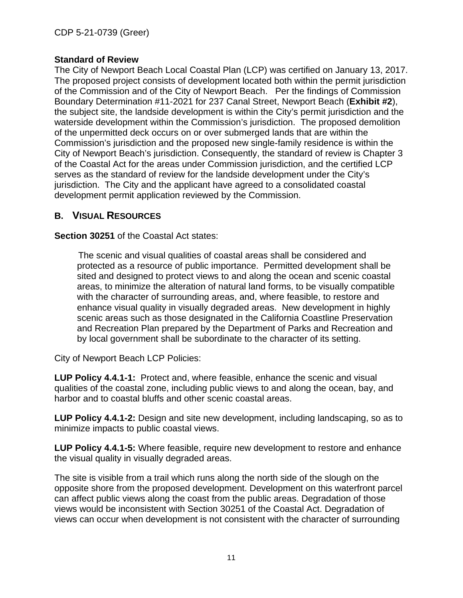#### **Standard of Review**

The City of Newport Beach Local Coastal Plan (LCP) was certified on January 13, 2017. The proposed project consists of development located both within the permit jurisdiction of the Commission and of the City of Newport Beach. Per the findings of Commission Boundary Determination #11-2021 for 237 Canal Street, Newport Beach (**[Exhibit #2](https://documents.coastal.ca.gov/reports/2022/6/Th14b/Th14b-6-2022-exhibits.pdf)**), the subject site, the landside development is within the City's permit jurisdiction and the waterside development within the Commission's jurisdiction. The proposed demolition of the unpermitted deck occurs on or over submerged lands that are within the Commission's jurisdiction and the proposed new single-family residence is within the City of Newport Beach's jurisdiction. Consequently, the standard of review is Chapter 3 of the Coastal Act for the areas under Commission jurisdiction, and the certified LCP serves as the standard of review for the landside development under the City's jurisdiction. The City and the applicant have agreed to a consolidated coastal development permit application reviewed by the Commission.

# <span id="page-10-0"></span>**B. VISUAL RESOURCES**

**Section 30251** of the Coastal Act states:

The scenic and visual qualities of coastal areas shall be considered and protected as a resource of public importance. Permitted development shall be sited and designed to protect views to and along the ocean and scenic coastal areas, to minimize the alteration of natural land forms, to be visually compatible with the character of surrounding areas, and, where feasible, to restore and enhance visual quality in visually degraded areas. New development in highly scenic areas such as those designated in the California Coastline Preservation and Recreation Plan prepared by the Department of Parks and Recreation and by local government shall be subordinate to the character of its setting.

City of Newport Beach LCP Policies:

**LUP Policy 4.4.1-1:** Protect and, where feasible, enhance the scenic and visual qualities of the coastal zone, including public views to and along the ocean, bay, and harbor and to coastal bluffs and other scenic coastal areas.

**LUP Policy 4.4.1-2:** Design and site new development, including landscaping, so as to minimize impacts to public coastal views.

**LUP Policy 4.4.1-5:** Where feasible, require new development to restore and enhance the visual quality in visually degraded areas.

The site is visible from a trail which runs along the north side of the slough on the opposite shore from the proposed development. Development on this waterfront parcel can affect public views along the coast from the public areas. Degradation of those views would be inconsistent with Section 30251 of the Coastal Act. Degradation of views can occur when development is not consistent with the character of surrounding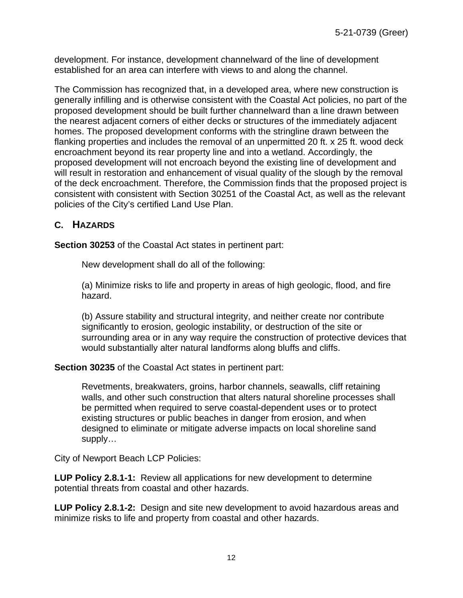development. For instance, development channelward of the line of development established for an area can interfere with views to and along the channel.

The Commission has recognized that, in a developed area, where new construction is generally infilling and is otherwise consistent with the Coastal Act policies, no part of the proposed development should be built further channelward than a line drawn between the nearest adjacent corners of either decks or structures of the immediately adjacent homes. The proposed development conforms with the stringline drawn between the flanking properties and includes the removal of an unpermitted 20 ft. x 25 ft. wood deck encroachment beyond its rear property line and into a wetland. Accordingly, the proposed development will not encroach beyond the existing line of development and will result in restoration and enhancement of visual quality of the slough by the removal of the deck encroachment. Therefore, the Commission finds that the proposed project is consistent with consistent with Section 30251 of the Coastal Act, as well as the relevant policies of the City's certified Land Use Plan.

#### <span id="page-11-0"></span>**C. HAZARDS**

**Section 30253** of the Coastal Act states in pertinent part:

New development shall do all of the following:

(a) Minimize risks to life and property in areas of high geologic, flood, and fire hazard.

(b) Assure stability and structural integrity, and neither create nor contribute significantly to erosion, geologic instability, or destruction of the site or surrounding area or in any way require the construction of protective devices that would substantially alter natural landforms along bluffs and cliffs.

**Section 30235** of the Coastal Act states in pertinent part:

Revetments, breakwaters, groins, harbor channels, seawalls, cliff retaining walls, and other such construction that alters natural shoreline processes shall be permitted when required to serve coastal-dependent uses or to protect existing structures or public beaches in danger from erosion, and when designed to eliminate or mitigate adverse impacts on local shoreline sand supply…

City of Newport Beach LCP Policies:

**LUP Policy 2.8.1-1:** Review all applications for new development to determine potential threats from coastal and other hazards.

**LUP Policy 2.8.1-2:** Design and site new development to avoid hazardous areas and minimize risks to life and property from coastal and other hazards.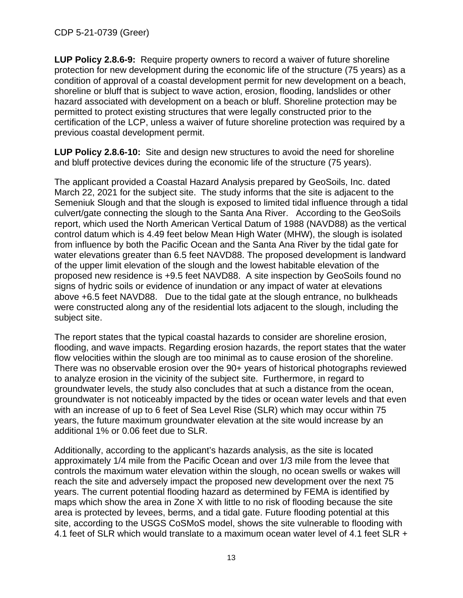**LUP Policy 2.8.6-9:** Require property owners to record a waiver of future shoreline protection for new development during the economic life of the structure (75 years) as a condition of approval of a coastal development permit for new development on a beach, shoreline or bluff that is subject to wave action, erosion, flooding, landslides or other hazard associated with development on a beach or bluff. Shoreline protection may be permitted to protect existing structures that were legally constructed prior to the certification of the LCP, unless a waiver of future shoreline protection was required by a previous coastal development permit.

**LUP Policy 2.8.6-10:** Site and design new structures to avoid the need for shoreline and bluff protective devices during the economic life of the structure (75 years).

The applicant provided a Coastal Hazard Analysis prepared by GeoSoils, Inc. dated March 22, 2021 for the subject site. The study informs that the site is adjacent to the Semeniuk Slough and that the slough is exposed to limited tidal influence through a tidal culvert/gate connecting the slough to the Santa Ana River. According to the GeoSoils report, which used the North American Vertical Datum of 1988 (NAVD88) as the vertical control datum which is 4.49 feet below Mean High Water (MHW), the slough is isolated from influence by both the Pacific Ocean and the Santa Ana River by the tidal gate for water elevations greater than 6.5 feet NAVD88. The proposed development is landward of the upper limit elevation of the slough and the lowest habitable elevation of the proposed new residence is +9.5 feet NAVD88. A site inspection by GeoSoils found no signs of hydric soils or evidence of inundation or any impact of water at elevations above +6.5 feet NAVD88. Due to the tidal gate at the slough entrance, no bulkheads were constructed along any of the residential lots adjacent to the slough, including the subject site.

The report states that the typical coastal hazards to consider are shoreline erosion, flooding, and wave impacts. Regarding erosion hazards, the report states that the water flow velocities within the slough are too minimal as to cause erosion of the shoreline. There was no observable erosion over the 90+ years of historical photographs reviewed to analyze erosion in the vicinity of the subject site. Furthermore, in regard to groundwater levels, the study also concludes that at such a distance from the ocean, groundwater is not noticeably impacted by the tides or ocean water levels and that even with an increase of up to 6 feet of Sea Level Rise (SLR) which may occur within 75 years, the future maximum groundwater elevation at the site would increase by an additional 1% or 0.06 feet due to SLR.

Additionally, according to the applicant's hazards analysis, as the site is located approximately 1/4 mile from the Pacific Ocean and over 1/3 mile from the levee that controls the maximum water elevation within the slough, no ocean swells or wakes will reach the site and adversely impact the proposed new development over the next 75 years. The current potential flooding hazard as determined by FEMA is identified by maps which show the area in Zone X with little to no risk of flooding because the site area is protected by levees, berms, and a tidal gate. Future flooding potential at this site, according to the USGS CoSMoS model, shows the site vulnerable to flooding with 4.1 feet of SLR which would translate to a maximum ocean water level of 4.1 feet SLR +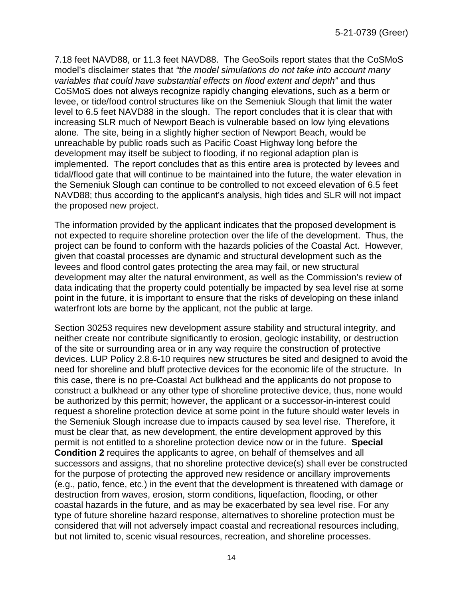7.18 feet NAVD88, or 11.3 feet NAVD88. The GeoSoils report states that the CoSMoS model's disclaimer states that *"the model simulations do not take into account many variables that could have substantial effects on flood extent and depth"* and thus CoSMoS does not always recognize rapidly changing elevations, such as a berm or levee, or tide/food control structures like on the Semeniuk Slough that limit the water level to 6.5 feet NAVD88 in the slough. The report concludes that it is clear that with increasing SLR much of Newport Beach is vulnerable based on low lying elevations alone. The site, being in a slightly higher section of Newport Beach, would be unreachable by public roads such as Pacific Coast Highway long before the development may itself be subject to flooding, if no regional adaption plan is implemented. The report concludes that as this entire area is protected by levees and tidal/flood gate that will continue to be maintained into the future, the water elevation in the Semeniuk Slough can continue to be controlled to not exceed elevation of 6.5 feet NAVD88; thus according to the applicant's analysis, high tides and SLR will not impact the proposed new project.

The information provided by the applicant indicates that the proposed development is not expected to require shoreline protection over the life of the development. Thus, the project can be found to conform with the hazards policies of the Coastal Act. However, given that coastal processes are dynamic and structural development such as the levees and flood control gates protecting the area may fail, or new structural development may alter the natural environment, as well as the Commission's review of data indicating that the property could potentially be impacted by sea level rise at some point in the future, it is important to ensure that the risks of developing on these inland waterfront lots are borne by the applicant, not the public at large.

Section 30253 requires new development assure stability and structural integrity, and neither create nor contribute significantly to erosion, geologic instability, or destruction of the site or surrounding area or in any way require the construction of protective devices. LUP Policy 2.8.6-10 requires new structures be sited and designed to avoid the need for shoreline and bluff protective devices for the economic life of the structure. In this case, there is no pre-Coastal Act bulkhead and the applicants do not propose to construct a bulkhead or any other type of shoreline protective device, thus, none would be authorized by this permit; however, the applicant or a successor-in-interest could request a shoreline protection device at some point in the future should water levels in the Semeniuk Slough increase due to impacts caused by sea level rise. Therefore, it must be clear that, as new development, the entire development approved by this permit is not entitled to a shoreline protection device now or in the future. **Special Condition 2** requires the applicants to agree, on behalf of themselves and all successors and assigns, that no shoreline protective device(s) shall ever be constructed for the purpose of protecting the approved new residence or ancillary improvements (e.g., patio, fence, etc.) in the event that the development is threatened with damage or destruction from waves, erosion, storm conditions, liquefaction, flooding, or other coastal hazards in the future, and as may be exacerbated by sea level rise. For any type of future shoreline hazard response, alternatives to shoreline protection must be considered that will not adversely impact coastal and recreational resources including, but not limited to, scenic visual resources, recreation, and shoreline processes.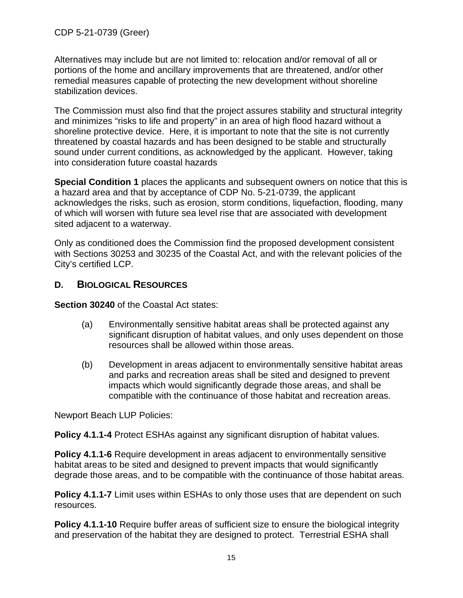Alternatives may include but are not limited to: relocation and/or removal of all or portions of the home and ancillary improvements that are threatened, and/or other remedial measures capable of protecting the new development without shoreline stabilization devices.

The Commission must also find that the project assures stability and structural integrity and minimizes "risks to life and property" in an area of high flood hazard without a shoreline protective device. Here, it is important to note that the site is not currently threatened by coastal hazards and has been designed to be stable and structurally sound under current conditions, as acknowledged by the applicant. However, taking into consideration future coastal hazards

**Special Condition 1** places the applicants and subsequent owners on notice that this is a hazard area and that by acceptance of CDP No. 5-21-0739, the applicant acknowledges the risks, such as erosion, storm conditions, liquefaction, flooding, many of which will worsen with future sea level rise that are associated with development sited adjacent to a waterway.

Only as conditioned does the Commission find the proposed development consistent with Sections 30253 and 30235 of the Coastal Act, and with the relevant policies of the City's certified LCP.

#### <span id="page-14-0"></span>**D. BIOLOGICAL RESOURCES**

**Section 30240** of the Coastal Act states:

- (a) Environmentally sensitive habitat areas shall be protected against any significant disruption of habitat values, and only uses dependent on those resources shall be allowed within those areas.
- (b) Development in areas adjacent to environmentally sensitive habitat areas and parks and recreation areas shall be sited and designed to prevent impacts which would significantly degrade those areas, and shall be compatible with the continuance of those habitat and recreation areas.

Newport Beach LUP Policies:

**Policy 4.1.1-4** Protect ESHAs against any significant disruption of habitat values.

**Policy 4.1.1-6** Require development in areas adjacent to environmentally sensitive habitat areas to be sited and designed to prevent impacts that would significantly degrade those areas, and to be compatible with the continuance of those habitat areas.

**Policy 4.1.1-7** Limit uses within ESHAs to only those uses that are dependent on such resources.

**Policy 4.1.1-10** Require buffer areas of sufficient size to ensure the biological integrity and preservation of the habitat they are designed to protect. Terrestrial ESHA shall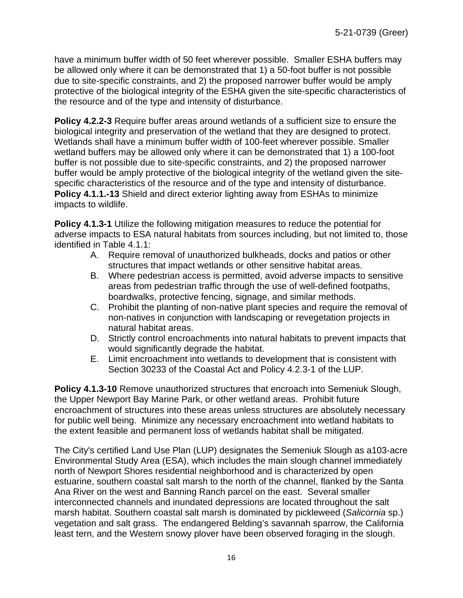have a minimum buffer width of 50 feet wherever possible. Smaller ESHA buffers may be allowed only where it can be demonstrated that 1) a 50-foot buffer is not possible due to site-specific constraints, and 2) the proposed narrower buffer would be amply protective of the biological integrity of the ESHA given the site-specific characteristics of the resource and of the type and intensity of disturbance.

**Policy 4.2.2-3** Require buffer areas around wetlands of a sufficient size to ensure the biological integrity and preservation of the wetland that they are designed to protect. Wetlands shall have a minimum buffer width of 100-feet wherever possible. Smaller wetland buffers may be allowed only where it can be demonstrated that 1) a 100-foot buffer is not possible due to site-specific constraints, and 2) the proposed narrower buffer would be amply protective of the biological integrity of the wetland given the sitespecific characteristics of the resource and of the type and intensity of disturbance. **Policy 4.1.1.-13** Shield and direct exterior lighting away from ESHAs to minimize impacts to wildlife.

**Policy 4.1.3-1** Utilize the following mitigation measures to reduce the potential for adverse impacts to ESA natural habitats from sources including, but not limited to, those identified in Table 4.1.1:

- A. Require removal of unauthorized bulkheads, docks and patios or other structures that impact wetlands or other sensitive habitat areas.
- B. Where pedestrian access is permitted, avoid adverse impacts to sensitive areas from pedestrian traffic through the use of well-defined footpaths, boardwalks, protective fencing, signage, and similar methods.
- C. Prohibit the planting of non-native plant species and require the removal of non-natives in conjunction with landscaping or revegetation projects in natural habitat areas.
- D. Strictly control encroachments into natural habitats to prevent impacts that would significantly degrade the habitat.
- E. Limit encroachment into wetlands to development that is consistent with Section 30233 of the Coastal Act and Policy 4.2.3-1 of the LUP.

**Policy 4.1.3-10** Remove unauthorized structures that encroach into Semeniuk Slough, the Upper Newport Bay Marine Park, or other wetland areas. Prohibit future encroachment of structures into these areas unless structures are absolutely necessary for public well being. Minimize any necessary encroachment into wetland habitats to the extent feasible and permanent loss of wetlands habitat shall be mitigated.

The City's certified Land Use Plan (LUP) designates the Semeniuk Slough as a103-acre Environmental Study Area (ESA), which includes the main slough channel immediately north of Newport Shores residential neighborhood and is characterized by open estuarine, southern coastal salt marsh to the north of the channel, flanked by the Santa Ana River on the west and Banning Ranch parcel on the east. Several smaller interconnected channels and inundated depressions are located throughout the salt marsh habitat. Southern coastal salt marsh is dominated by pickleweed (*Salicornia* sp.) vegetation and salt grass. The endangered Belding's savannah sparrow, the California least tern, and the Western snowy plover have been observed foraging in the slough.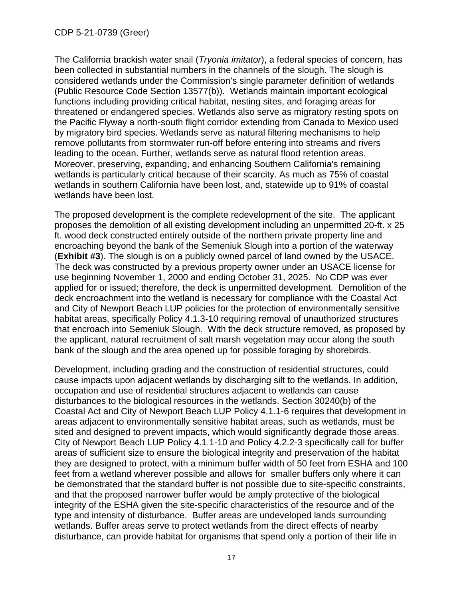The California brackish water snail (*Tryonia imitator*), a federal species of concern, has been collected in substantial numbers in the channels of the slough. The slough is considered wetlands under the Commission's single parameter definition of wetlands (Public Resource Code Section 13577(b)). Wetlands maintain important ecological functions including providing critical habitat, nesting sites, and foraging areas for threatened or endangered species. Wetlands also serve as migratory resting spots on the Pacific Flyway a north-south flight corridor extending from Canada to Mexico used by migratory bird species. Wetlands serve as natural filtering mechanisms to help remove pollutants from stormwater run-off before entering into streams and rivers leading to the ocean. Further, wetlands serve as natural flood retention areas. Moreover, preserving, expanding, and enhancing Southern California's remaining wetlands is particularly critical because of their scarcity. As much as 75% of coastal wetlands in southern California have been lost, and, statewide up to 91% of coastal wetlands have been lost.

The proposed development is the complete redevelopment of the site. The applicant proposes the demolition of all existing development including an unpermitted 20-ft. x 25 ft. wood deck constructed entirely outside of the northern private property line and encroaching beyond the bank of the Semeniuk Slough into a portion of the waterway (**[Exhibit #3](https://documents.coastal.ca.gov/reports/2022/6/Th14b/Th14b-6-2022-exhibits.pdf)**). The slough is on a publicly owned parcel of land owned by the USACE. The deck was constructed by a previous property owner under an USACE license for use beginning November 1, 2000 and ending October 31, 2025. No CDP was ever applied for or issued; therefore, the deck is unpermitted development. Demolition of the deck encroachment into the wetland is necessary for compliance with the Coastal Act and City of Newport Beach LUP policies for the protection of environmentally sensitive habitat areas, specifically Policy 4.1.3-10 requiring removal of unauthorized structures that encroach into Semeniuk Slough. With the deck structure removed, as proposed by the applicant, natural recruitment of salt marsh vegetation may occur along the south bank of the slough and the area opened up for possible foraging by shorebirds.

Development, including grading and the construction of residential structures, could cause impacts upon adjacent wetlands by discharging silt to the wetlands. In addition, occupation and use of residential structures adjacent to wetlands can cause disturbances to the biological resources in the wetlands. Section 30240(b) of the Coastal Act and City of Newport Beach LUP Policy 4.1.1-6 requires that development in areas adjacent to environmentally sensitive habitat areas, such as wetlands, must be sited and designed to prevent impacts, which would significantly degrade those areas. City of Newport Beach LUP Policy 4.1.1-10 and Policy 4.2.2-3 specifically call for buffer areas of sufficient size to ensure the biological integrity and preservation of the habitat they are designed to protect, with a minimum buffer width of 50 feet from ESHA and 100 feet from a wetland wherever possible and allows for smaller buffers only where it can be demonstrated that the standard buffer is not possible due to site-specific constraints, and that the proposed narrower buffer would be amply protective of the biological integrity of the ESHA given the site-specific characteristics of the resource and of the type and intensity of disturbance. Buffer areas are undeveloped lands surrounding wetlands. Buffer areas serve to protect wetlands from the direct effects of nearby disturbance, can provide habitat for organisms that spend only a portion of their life in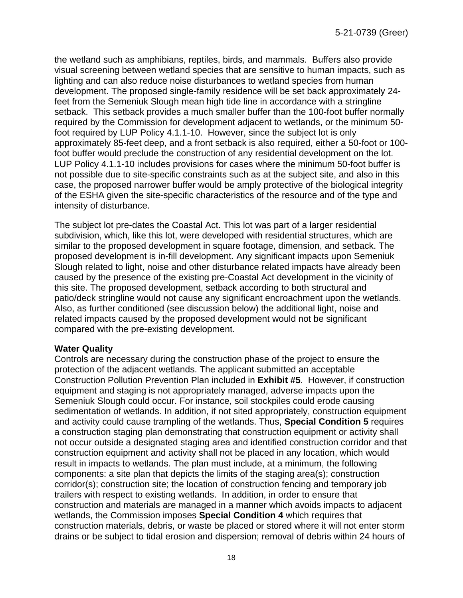the wetland such as amphibians, reptiles, birds, and mammals. Buffers also provide visual screening between wetland species that are sensitive to human impacts, such as lighting and can also reduce noise disturbances to wetland species from human development. The proposed single-family residence will be set back approximately 24 feet from the Semeniuk Slough mean high tide line in accordance with a stringline setback. This setback provides a much smaller buffer than the 100-foot buffer normally required by the Commission for development adjacent to wetlands, or the minimum 50 foot required by LUP Policy 4.1.1-10. However, since the subject lot is only approximately 85-feet deep, and a front setback is also required, either a 50-foot or 100 foot buffer would preclude the construction of any residential development on the lot. LUP Policy 4.1.1-10 includes provisions for cases where the minimum 50-foot buffer is not possible due to site-specific constraints such as at the subject site, and also in this case, the proposed narrower buffer would be amply protective of the biological integrity of the ESHA given the site-specific characteristics of the resource and of the type and intensity of disturbance.

The subject lot pre-dates the Coastal Act. This lot was part of a larger residential subdivision, which, like this lot, were developed with residential structures, which are similar to the proposed development in square footage, dimension, and setback. The proposed development is in-fill development. Any significant impacts upon Semeniuk Slough related to light, noise and other disturbance related impacts have already been caused by the presence of the existing pre-Coastal Act development in the vicinity of this site. The proposed development, setback according to both structural and patio/deck stringline would not cause any significant encroachment upon the wetlands. Also, as further conditioned (see discussion below) the additional light, noise and related impacts caused by the proposed development would not be significant compared with the pre-existing development.

#### **Water Quality**

Controls are necessary during the construction phase of the project to ensure the protection of the adjacent wetlands. The applicant submitted an acceptable Construction Pollution Prevention Plan included in **[Exhibit #5](https://documents.coastal.ca.gov/reports/2022/6/Th14b/Th14b-6-2022-exhibits.pdf)**. However, if construction equipment and staging is not appropriately managed, adverse impacts upon the Semeniuk Slough could occur. For instance, soil stockpiles could erode causing sedimentation of wetlands. In addition, if not sited appropriately, construction equipment and activity could cause trampling of the wetlands. Thus, **Special Condition 5** requires a construction staging plan demonstrating that construction equipment or activity shall not occur outside a designated staging area and identified construction corridor and that construction equipment and activity shall not be placed in any location, which would result in impacts to wetlands. The plan must include, at a minimum, the following components: a site plan that depicts the limits of the staging area(s); construction corridor(s); construction site; the location of construction fencing and temporary job trailers with respect to existing wetlands. In addition, in order to ensure that construction and materials are managed in a manner which avoids impacts to adjacent wetlands, the Commission imposes **Special Condition 4** which requires that construction materials, debris, or waste be placed or stored where it will not enter storm drains or be subject to tidal erosion and dispersion; removal of debris within 24 hours of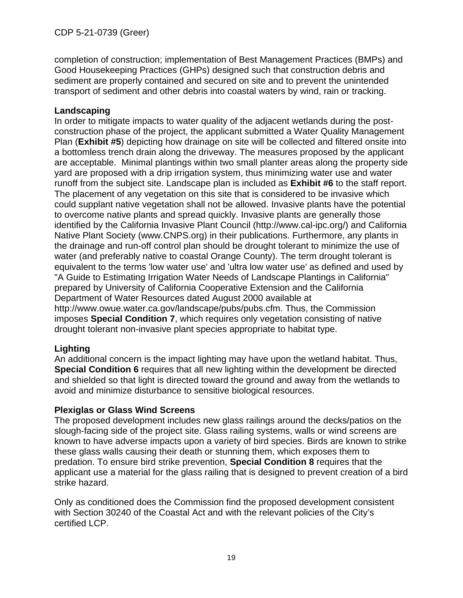completion of construction; implementation of Best Management Practices (BMPs) and Good Housekeeping Practices (GHPs) designed such that construction debris and sediment are properly contained and secured on site and to prevent the unintended transport of sediment and other debris into coastal waters by wind, rain or tracking.

#### **Landscaping**

In order to mitigate impacts to water quality of the adjacent wetlands during the postconstruction phase of the project, the applicant submitted a Water Quality Management Plan (**[Exhibit #5](https://documents.coastal.ca.gov/reports/2022/6/Th14b/Th14b-6-2022-exhibits.pdf)**) depicting how drainage on site will be collected and filtered onsite into a bottomless trench drain along the driveway. The measures proposed by the applicant are acceptable. Minimal plantings within two small planter areas along the property side yard are proposed with a drip irrigation system, thus minimizing water use and water runoff from the subject site. Landscape plan is included as **[Exhibit #6](https://documents.coastal.ca.gov/reports/2022/6/Th14b/Th14b-6-2022-exhibits.pdf)** to the staff report. The placement of any vegetation on this site that is considered to be invasive which could supplant native vegetation shall not be allowed. Invasive plants have the potential to overcome native plants and spread quickly. Invasive plants are generally those identified by the California Invasive Plant Council (http://www.cal-ipc.org/) and California Native Plant Society (www.CNPS.org) in their publications. Furthermore, any plants in the drainage and run-off control plan should be drought tolerant to minimize the use of water (and preferably native to coastal Orange County). The term drought tolerant is equivalent to the terms 'low water use' and 'ultra low water use' as defined and used by "A Guide to Estimating Irrigation Water Needs of Landscape Plantings in California" prepared by University of California Cooperative Extension and the California Department of Water Resources dated August 2000 available at http://www.owue.water.ca.gov/landscape/pubs/pubs.cfm. Thus, the Commission imposes **Special Condition 7**, which requires only vegetation consisting of native drought tolerant non-invasive plant species appropriate to habitat type.

#### **Lighting**

An additional concern is the impact lighting may have upon the wetland habitat. Thus, **Special Condition 6** requires that all new lighting within the development be directed and shielded so that light is directed toward the ground and away from the wetlands to avoid and minimize disturbance to sensitive biological resources.

#### **Plexiglas or Glass Wind Screens**

The proposed development includes new glass railings around the decks/patios on the slough-facing side of the project site. Glass railing systems, walls or wind screens are known to have adverse impacts upon a variety of bird species. Birds are known to strike these glass walls causing their death or stunning them, which exposes them to predation. To ensure bird strike prevention, **Special Condition 8** requires that the applicant use a material for the glass railing that is designed to prevent creation of a bird strike hazard.

Only as conditioned does the Commission find the proposed development consistent with Section 30240 of the Coastal Act and with the relevant policies of the City's certified LCP.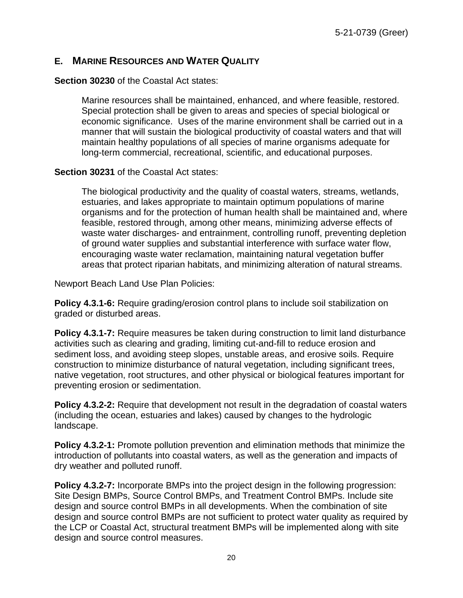## <span id="page-19-0"></span>**E. MARINE RESOURCES AND WATER QUALITY**

#### **Section 30230** of the Coastal Act states:

Marine resources shall be maintained, enhanced, and where feasible, restored. Special protection shall be given to areas and species of special biological or economic significance. Uses of the marine environment shall be carried out in a manner that will sustain the biological productivity of coastal waters and that will maintain healthy populations of all species of marine organisms adequate for long-term commercial, recreational, scientific, and educational purposes.

#### **Section 30231** of the Coastal Act states:

The biological productivity and the quality of coastal waters, streams, wetlands, estuaries, and lakes appropriate to maintain optimum populations of marine organisms and for the protection of human health shall be maintained and, where feasible, restored through, among other means, minimizing adverse effects of waste water discharges- and entrainment, controlling runoff, preventing depletion of ground water supplies and substantial interference with surface water flow, encouraging waste water reclamation, maintaining natural vegetation buffer areas that protect riparian habitats, and minimizing alteration of natural streams.

Newport Beach Land Use Plan Policies:

**Policy 4.3.1-6:** Require grading/erosion control plans to include soil stabilization on graded or disturbed areas.

**Policy 4.3.1-7:** Require measures be taken during construction to limit land disturbance activities such as clearing and grading, limiting cut-and-fill to reduce erosion and sediment loss, and avoiding steep slopes, unstable areas, and erosive soils. Require construction to minimize disturbance of natural vegetation, including significant trees, native vegetation, root structures, and other physical or biological features important for preventing erosion or sedimentation.

**Policy 4.3.2-2:** Require that development not result in the degradation of coastal waters (including the ocean, estuaries and lakes) caused by changes to the hydrologic landscape.

**Policy 4.3.2-1:** Promote pollution prevention and elimination methods that minimize the introduction of pollutants into coastal waters, as well as the generation and impacts of dry weather and polluted runoff.

**Policy 4.3.2-7:** Incorporate BMPs into the project design in the following progression: Site Design BMPs, Source Control BMPs, and Treatment Control BMPs. Include site design and source control BMPs in all developments. When the combination of site design and source control BMPs are not sufficient to protect water quality as required by the LCP or Coastal Act, structural treatment BMPs will be implemented along with site design and source control measures.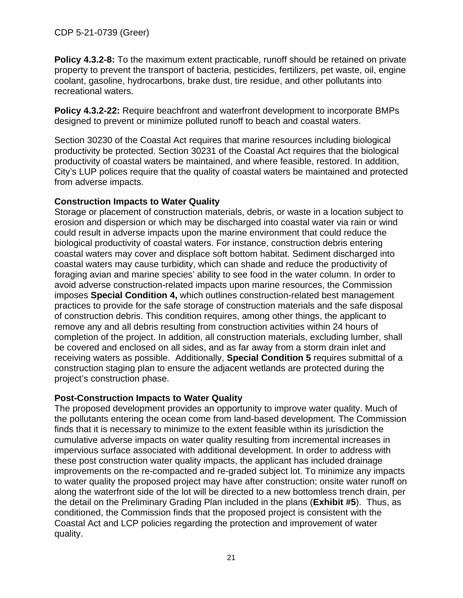**Policy 4.3.2-8:** To the maximum extent practicable, runoff should be retained on private property to prevent the transport of bacteria, pesticides, fertilizers, pet waste, oil, engine coolant, gasoline, hydrocarbons, brake dust, tire residue, and other pollutants into recreational waters.

**Policy 4.3.2-22:** Require beachfront and waterfront development to incorporate BMPs designed to prevent or minimize polluted runoff to beach and coastal waters.

Section 30230 of the Coastal Act requires that marine resources including biological productivity be protected. Section 30231 of the Coastal Act requires that the biological productivity of coastal waters be maintained, and where feasible, restored. In addition, City's LUP polices require that the quality of coastal waters be maintained and protected from adverse impacts.

#### **Construction Impacts to Water Quality**

Storage or placement of construction materials, debris, or waste in a location subject to erosion and dispersion or which may be discharged into coastal water via rain or wind could result in adverse impacts upon the marine environment that could reduce the biological productivity of coastal waters. For instance, construction debris entering coastal waters may cover and displace soft bottom habitat. Sediment discharged into coastal waters may cause turbidity, which can shade and reduce the productivity of foraging avian and marine species' ability to see food in the water column. In order to avoid adverse construction-related impacts upon marine resources, the Commission imposes **Special Condition 4,** which outlines construction-related best management practices to provide for the safe storage of construction materials and the safe disposal of construction debris. This condition requires, among other things, the applicant to remove any and all debris resulting from construction activities within 24 hours of completion of the project. In addition, all construction materials, excluding lumber, shall be covered and enclosed on all sides, and as far away from a storm drain inlet and receiving waters as possible. Additionally, **Special Condition 5** requires submittal of a construction staging plan to ensure the adjacent wetlands are protected during the project's construction phase.

#### **Post-Construction Impacts to Water Quality**

The proposed development provides an opportunity to improve water quality. Much of the pollutants entering the ocean come from land-based development. The Commission finds that it is necessary to minimize to the extent feasible within its jurisdiction the cumulative adverse impacts on water quality resulting from incremental increases in impervious surface associated with additional development. In order to address with these post construction water quality impacts, the applicant has included drainage improvements on the re-compacted and re-graded subject lot. To minimize any impacts to water quality the proposed project may have after construction; onsite water runoff on along the waterfront side of the lot will be directed to a new bottomless trench drain, per the detail on the Preliminary Grading Plan included in the plans (**[Exhibit #5](https://documents.coastal.ca.gov/reports/2022/6/Th14b/Th14b-6-2022-exhibits.pdf)**). Thus, as conditioned, the Commission finds that the proposed project is consistent with the Coastal Act and LCP policies regarding the protection and improvement of water quality.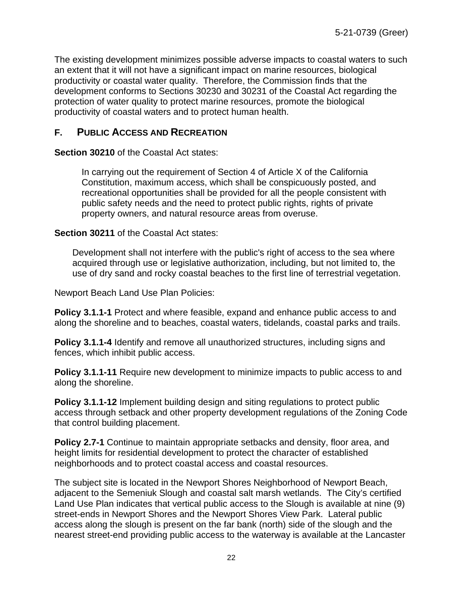The existing development minimizes possible adverse impacts to coastal waters to such an extent that it will not have a significant impact on marine resources, biological productivity or coastal water quality. Therefore, the Commission finds that the development conforms to Sections 30230 and 30231 of the Coastal Act regarding the protection of water quality to protect marine resources, promote the biological productivity of coastal waters and to protect human health.

# <span id="page-21-0"></span>**F. PUBLIC ACCESS AND RECREATION**

**Section 30210** of the Coastal Act states:

In carrying out the requirement of Section 4 of Article X of the California Constitution, maximum access, which shall be conspicuously posted, and recreational opportunities shall be provided for all the people consistent with public safety needs and the need to protect public rights, rights of private property owners, and natural resource areas from overuse.

**Section 30211** of the Coastal Act states:

Development shall not interfere with the public's right of access to the sea where acquired through use or legislative authorization, including, but not limited to, the use of dry sand and rocky coastal beaches to the first line of terrestrial vegetation.

Newport Beach Land Use Plan Policies:

**Policy 3.1.1-1** Protect and where feasible, expand and enhance public access to and along the shoreline and to beaches, coastal waters, tidelands, coastal parks and trails.

**Policy 3.1.1-4** Identify and remove all unauthorized structures, including signs and fences, which inhibit public access.

**Policy 3.1.1-11** Require new development to minimize impacts to public access to and along the shoreline.

**Policy 3.1.1-12** Implement building design and siting regulations to protect public access through setback and other property development regulations of the Zoning Code that control building placement.

**Policy 2.7-1** Continue to maintain appropriate setbacks and density, floor area, and height limits for residential development to protect the character of established neighborhoods and to protect coastal access and coastal resources.

The subject site is located in the Newport Shores Neighborhood of Newport Beach, adjacent to the Semeniuk Slough and coastal salt marsh wetlands. The City's certified Land Use Plan indicates that vertical public access to the Slough is available at nine (9) street-ends in Newport Shores and the Newport Shores View Park. Lateral public access along the slough is present on the far bank (north) side of the slough and the nearest street-end providing public access to the waterway is available at the Lancaster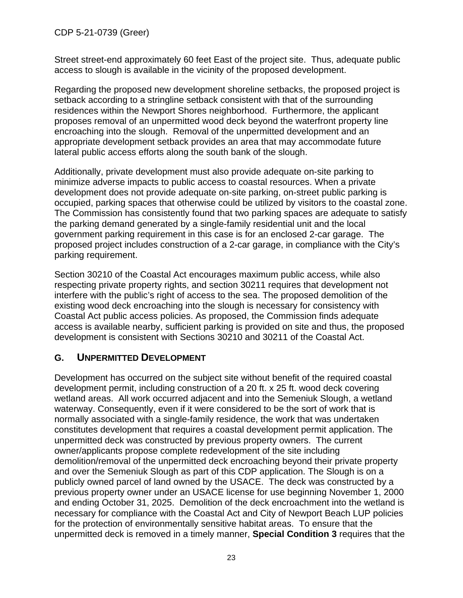CDP 5-21-0739 (Greer)

Street street-end approximately 60 feet East of the project site. Thus, adequate public access to slough is available in the vicinity of the proposed development.

Regarding the proposed new development shoreline setbacks, the proposed project is setback according to a stringline setback consistent with that of the surrounding residences within the Newport Shores neighborhood. Furthermore, the applicant proposes removal of an unpermitted wood deck beyond the waterfront property line encroaching into the slough. Removal of the unpermitted development and an appropriate development setback provides an area that may accommodate future lateral public access efforts along the south bank of the slough.

Additionally, private development must also provide adequate on-site parking to minimize adverse impacts to public access to coastal resources. When a private development does not provide adequate on-site parking, on-street public parking is occupied, parking spaces that otherwise could be utilized by visitors to the coastal zone. The Commission has consistently found that two parking spaces are adequate to satisfy the parking demand generated by a single-family residential unit and the local government parking requirement in this case is for an enclosed 2-car garage. The proposed project includes construction of a 2-car garage, in compliance with the City's parking requirement.

Section 30210 of the Coastal Act encourages maximum public access, while also respecting private property rights, and section 30211 requires that development not interfere with the public's right of access to the sea. The proposed demolition of the existing wood deck encroaching into the slough is necessary for consistency with Coastal Act public access policies. As proposed, the Commission finds adequate access is available nearby, sufficient parking is provided on site and thus, the proposed development is consistent with Sections 30210 and 30211 of the Coastal Act.

# <span id="page-22-0"></span>**G. UNPERMITTED DEVELOPMENT**

Development has occurred on the subject site without benefit of the required coastal development permit, including construction of a 20 ft. x 25 ft. wood deck covering wetland areas. All work occurred adjacent and into the Semeniuk Slough, a wetland waterway. Consequently, even if it were considered to be the sort of work that is normally associated with a single-family residence, the work that was undertaken constitutes development that requires a coastal development permit application. The unpermitted deck was constructed by previous property owners. The current owner/applicants propose complete redevelopment of the site including demolition/removal of the unpermitted deck encroaching beyond their private property and over the Semeniuk Slough as part of this CDP application. The Slough is on a publicly owned parcel of land owned by the USACE. The deck was constructed by a previous property owner under an USACE license for use beginning November 1, 2000 and ending October 31, 2025. Demolition of the deck encroachment into the wetland is necessary for compliance with the Coastal Act and City of Newport Beach LUP policies for the protection of environmentally sensitive habitat areas. To ensure that the unpermitted deck is removed in a timely manner, **Special Condition 3** requires that the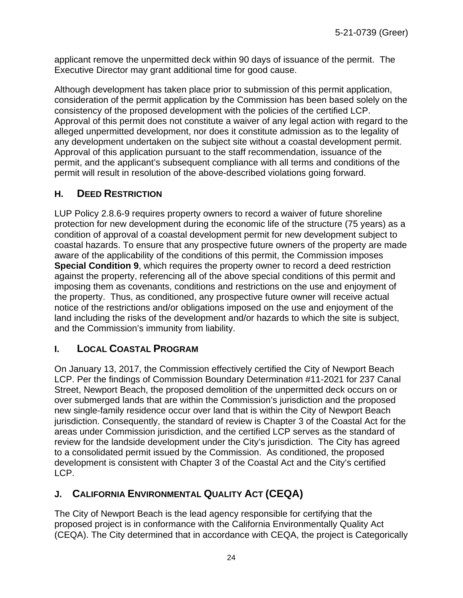applicant remove the unpermitted deck within 90 days of issuance of the permit. The Executive Director may grant additional time for good cause.

Although development has taken place prior to submission of this permit application, consideration of the permit application by the Commission has been based solely on the consistency of the proposed development with the policies of the certified LCP. Approval of this permit does not constitute a waiver of any legal action with regard to the alleged unpermitted development, nor does it constitute admission as to the legality of any development undertaken on the subject site without a coastal development permit. Approval of this application pursuant to the staff recommendation, issuance of the permit, and the applicant's subsequent compliance with all terms and conditions of the permit will result in resolution of the above-described violations going forward.

# <span id="page-23-0"></span>**H. DEED RESTRICTION**

LUP Policy 2.8.6-9 requires property owners to record a waiver of future shoreline protection for new development during the economic life of the structure (75 years) as a condition of approval of a coastal development permit for new development subject to coastal hazards. To ensure that any prospective future owners of the property are made aware of the applicability of the conditions of this permit, the Commission imposes **Special Condition 9**, which requires the property owner to record a deed restriction against the property, referencing all of the above special conditions of this permit and imposing them as covenants, conditions and restrictions on the use and enjoyment of the property. Thus, as conditioned, any prospective future owner will receive actual notice of the restrictions and/or obligations imposed on the use and enjoyment of the land including the risks of the development and/or hazards to which the site is subject, and the Commission's immunity from liability.

# <span id="page-23-1"></span>**I. LOCAL COASTAL PROGRAM**

On January 13, 2017, the Commission effectively certified the City of Newport Beach LCP. Per the findings of Commission Boundary Determination #11-2021 for 237 Canal Street, Newport Beach, the proposed demolition of the unpermitted deck occurs on or over submerged lands that are within the Commission's jurisdiction and the proposed new single-family residence occur over land that is within the City of Newport Beach jurisdiction. Consequently, the standard of review is Chapter 3 of the Coastal Act for the areas under Commission jurisdiction, and the certified LCP serves as the standard of review for the landside development under the City's jurisdiction. The City has agreed to a consolidated permit issued by the Commission. As conditioned, the proposed development is consistent with Chapter 3 of the Coastal Act and the City's certified LCP.

# <span id="page-23-2"></span>**J. CALIFORNIA ENVIRONMENTAL QUALITY ACT (CEQA)**

The City of Newport Beach is the lead agency responsible for certifying that the proposed project is in conformance with the California Environmentally Quality Act (CEQA). The City determined that in accordance with CEQA, the project is Categorically